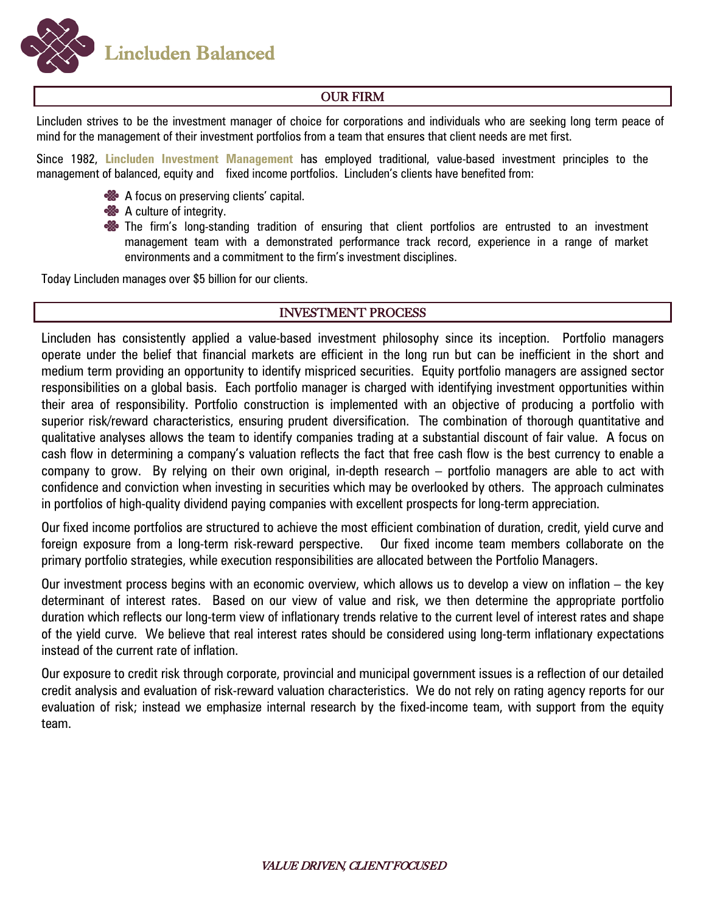**Lincluden Balanced** 

# OUR FIRM

Lincluden strives to be the investment manager of choice for corporations and individuals who are seeking long term peace of mind for the management of their investment portfolios from a team that ensures that client needs are met first.

Since 1982, **Lincluden Investment Management** has employed traditional, value-based investment principles to the management of balanced, equity and fixed income portfolios. Lincluden's clients have benefited from:

- A focus on preserving clients' capital.
- **<sup>88</sup>** A culture of integrity.
- **So** The firm's long-standing tradition of ensuring that client portfolios are entrusted to an investment management team with a demonstrated performance track record, experience in a range of market environments and a commitment to the firm's investment disciplines.

Today Lincluden manages over \$5 billion for our clients.

### INVESTMENT PROCESS

Lincluden has consistently applied a value-based investment philosophy since its inception. Portfolio managers operate under the belief that financial markets are efficient in the long run but can be inefficient in the short and medium term providing an opportunity to identify mispriced securities. Equity portfolio managers are assigned sector responsibilities on a global basis. Each portfolio manager is charged with identifying investment opportunities within their area of responsibility. Portfolio construction is implemented with an objective of producing a portfolio with superior risk/reward characteristics, ensuring prudent diversification. The combination of thorough quantitative and qualitative analyses allows the team to identify companies trading at a substantial discount of fair value. A focus on cash flow in determining a company's valuation reflects the fact that free cash flow is the best currency to enable a company to grow. By relying on their own original, in-depth research – portfolio managers are able to act with confidence and conviction when investing in securities which may be overlooked by others. The approach culminates in portfolios of high-quality dividend paying companies with excellent prospects for long-term appreciation.

Our fixed income portfolios are structured to achieve the most efficient combination of duration, credit, yield curve and foreign exposure from a long-term risk-reward perspective. Our fixed income team members collaborate on the primary portfolio strategies, while execution responsibilities are allocated between the Portfolio Managers.

Our investment process begins with an economic overview, which allows us to develop a view on inflation – the key determinant of interest rates. Based on our view of value and risk, we then determine the appropriate portfolio duration which reflects our long-term view of inflationary trends relative to the current level of interest rates and shape of the yield curve. We believe that real interest rates should be considered using long-term inflationary expectations instead of the current rate of inflation.

Our exposure to credit risk through corporate, provincial and municipal government issues is a reflection of our detailed credit analysis and evaluation of risk-reward valuation characteristics. We do not rely on rating agency reports for our evaluation of risk; instead we emphasize internal research by the fixed-income team, with support from the equity team.